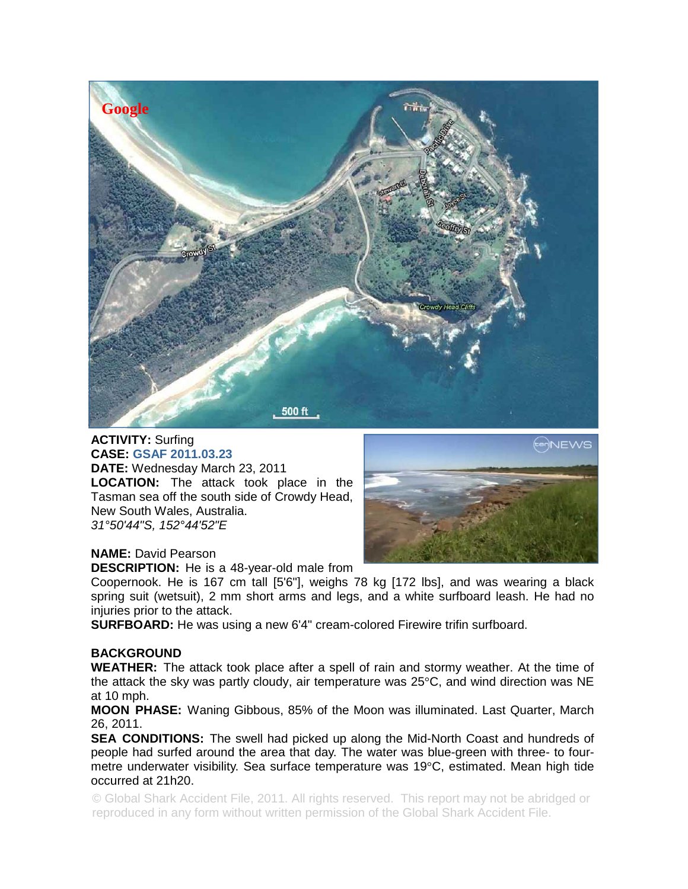

## **ACTIVITY:** Surfing **CASE: GSAF 2011.03.23 DATE:** Wednesday March 23, 2011 **LOCATION:** The attack took place in the Tasman sea off the south side of Crowdy Head, New South Wales, Australia. *31°50'44"S, 152°44'52"E*



## **NAME:** David Pearson

**DESCRIPTION:** He is a 48-year-old male from

Coopernook. He is 167 cm tall [5'6"], weighs 78 kg [172 lbs], and was wearing a black spring suit (wetsuit), 2 mm short arms and legs, and a white surfboard leash. He had no injuries prior to the attack.

**SURFBOARD:** He was using a new 6'4" cream-colored Firewire trifin surfboard.

## **BACKGROUND**

**WEATHER:** The attack took place after a spell of rain and stormy weather. At the time of the attack the sky was partly cloudy, air temperature was  $25^{\circ}$ C, and wind direction was NE at 10 mph.

**MOON PHASE:** Waning Gibbous, 85% of the Moon was illuminated. Last Quarter, March 26, 2011.

**SEA CONDITIONS:** The swell had picked up along the Mid-North Coast and hundreds of people had surfed around the area that day. The water was blue-green with three- to fourmetre underwater visibility. Sea surface temperature was 19°C, estimated. Mean high tide occurred at 21h20.

© Global Shark Accident File, 2011. All rights reserved. This report may not be abridged or reproduced in any form without written permission of the Global Shark Accident File.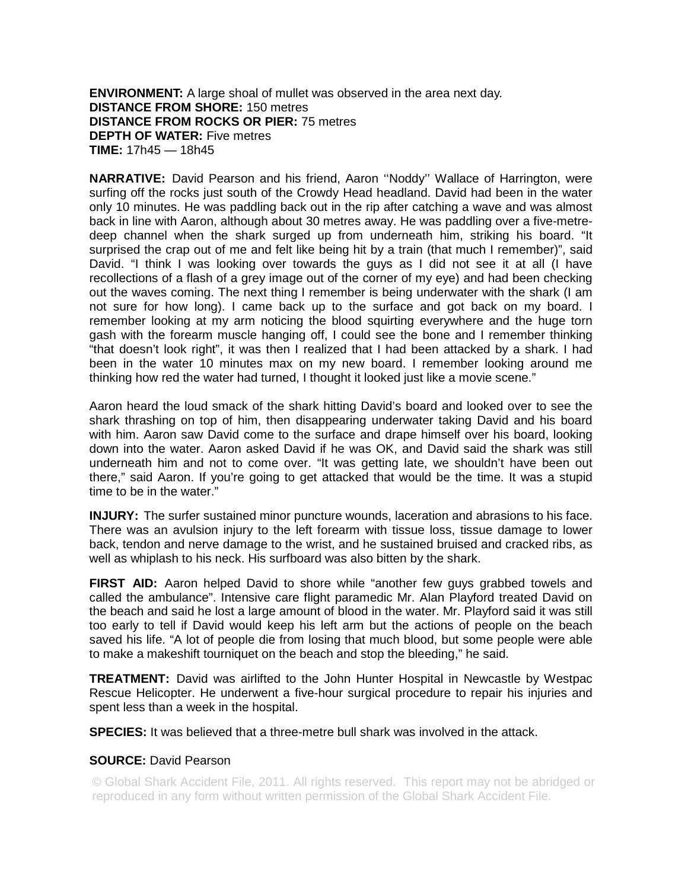**ENVIRONMENT:** A large shoal of mullet was observed in the area next day. **DISTANCE FROM SHORE:** 150 metres **DISTANCE FROM ROCKS OR PIER:** 75 metres **DEPTH OF WATER:** Five metres **TIME:** 17h45 — 18h45

**NARRATIVE:** David Pearson and his friend, Aaron ''Noddy'' Wallace of Harrington, were surfing off the rocks just south of the Crowdy Head headland. David had been in the water only 10 minutes. He was paddling back out in the rip after catching a wave and was almost back in line with Aaron, although about 30 metres away. He was paddling over a five-metredeep channel when the shark surged up from underneath him, striking his board. "It surprised the crap out of me and felt like being hit by a train (that much I remember)", said David. "I think I was looking over towards the guys as I did not see it at all (I have recollections of a flash of a grey image out of the corner of my eye) and had been checking out the waves coming. The next thing I remember is being underwater with the shark (I am not sure for how long). I came back up to the surface and got back on my board. I remember looking at my arm noticing the blood squirting everywhere and the huge torn gash with the forearm muscle hanging off, I could see the bone and I remember thinking "that doesn't look right", it was then I realized that I had been attacked by a shark. I had been in the water 10 minutes max on my new board. I remember looking around me thinking how red the water had turned, I thought it looked just like a movie scene."

Aaron heard the loud smack of the shark hitting David's board and looked over to see the shark thrashing on top of him, then disappearing underwater taking David and his board with him. Aaron saw David come to the surface and drape himself over his board, looking down into the water. Aaron asked David if he was OK, and David said the shark was still underneath him and not to come over. "It was getting late, we shouldn't have been out there," said Aaron. If you're going to get attacked that would be the time. It was a stupid time to be in the water."

**INJURY:** The surfer sustained minor puncture wounds, laceration and abrasions to his face. There was an avulsion injury to the left forearm with tissue loss, tissue damage to lower back, tendon and nerve damage to the wrist, and he sustained bruised and cracked ribs, as well as whiplash to his neck. His surfboard was also bitten by the shark.

**FIRST AID:** Aaron helped David to shore while "another few guys grabbed towels and called the ambulance". Intensive care flight paramedic Mr. Alan Playford treated David on the beach and said he lost a large amount of blood in the water. Mr. Playford said it was still too early to tell if David would keep his left arm but the actions of people on the beach saved his life. "A lot of people die from losing that much blood, but some people were able to make a makeshift tourniquet on the beach and stop the bleeding," he said.

**TREATMENT:** David was airlifted to the John Hunter Hospital in Newcastle by Westpac Rescue Helicopter. He underwent a five-hour surgical procedure to repair his injuries and spent less than a week in the hospital.

**SPECIES:** It was believed that a three-metre bull shark was involved in the attack.

## **SOURCE:** David Pearson

© Global Shark Accident File, 2011. All rights reserved. This report may not be abridged or reproduced in any form without written permission of the Global Shark Accident File.